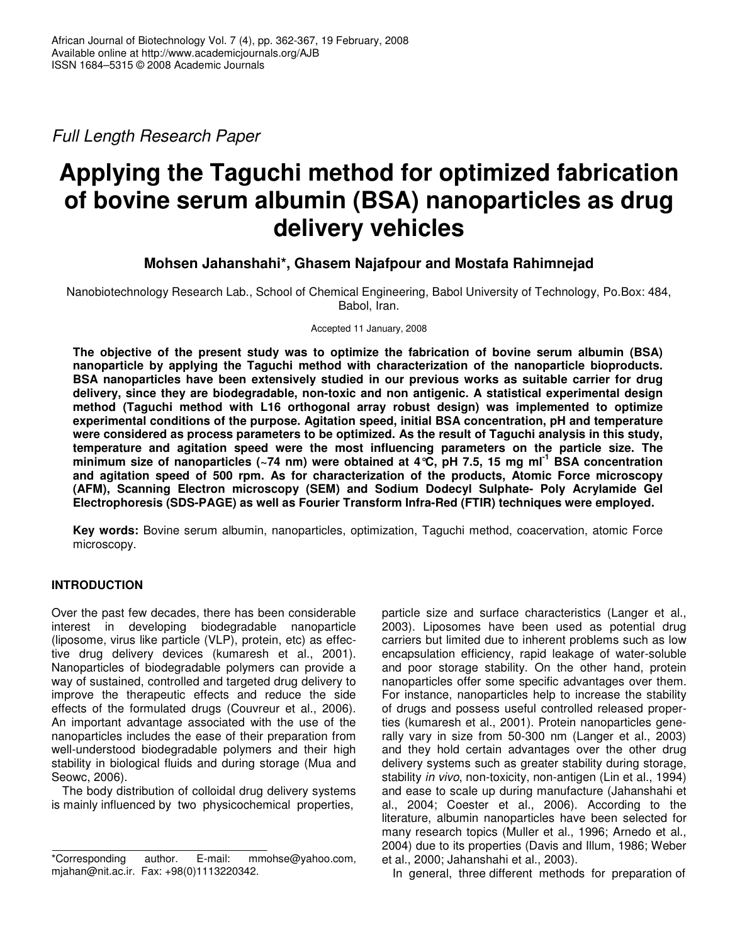*Full Length Research Paper*

# **Applying the Taguchi method for optimized fabrication of bovine serum albumin (BSA) nanoparticles as drug delivery vehicles**

**Mohsen Jahanshahi\*, Ghasem Najafpour and Mostafa Rahimnejad**

Nanobiotechnology Research Lab., School of Chemical Engineering, Babol University of Technology, Po.Box: 484, Babol, Iran.

Accepted 11 January, 2008

**The objective of the present study was to optimize the fabrication of bovine serum albumin (BSA) nanoparticle by applying the Taguchi method with characterization of the nanoparticle bioproducts. BSA nanoparticles have been extensively studied in our previous works as suitable carrier for drug delivery, since they are biodegradable, non-toxic and non antigenic. A statistical experimental design method (Taguchi method with L16 orthogonal array robust design) was implemented to optimize experimental conditions of the purpose. Agitation speed, initial BSA concentration, pH and temperature were considered as process parameters to be optimized. As the result of Taguchi analysis in this study, temperature and agitation speed were the most influencing parameters on the particle size. The minimum size of nanoparticles (~74 nm) were obtained at 4°C, pH 7.5, 15 mg ml -1 BSA concentration and agitation speed of 500 rpm. As for characterization of the products, Atomic Force microscopy (AFM), Scanning Electron microscopy (SEM) and Sodium Dodecyl Sulphate- Poly Acrylamide Gel Electrophoresis (SDS-PAGE) as well as Fourier Transform Infra-Red (FTIR) techniques were employed.**

**Key words:** Bovine serum albumin, nanoparticles, optimization, Taguchi method, coacervation, atomic Force microscopy.

## **INTRODUCTION**

Over the past few decades, there has been considerable interest in developing biodegradable nanoparticle (liposome, virus like particle (VLP), protein, etc) as effective drug delivery devices (kumaresh et al., 2001). Nanoparticles of biodegradable polymers can provide a way of sustained, controlled and targeted drug delivery to improve the therapeutic effects and reduce the side effects of the formulated drugs (Couvreur et al., 2006). An important advantage associated with the use of the nanoparticles includes the ease of their preparation from well-understood biodegradable polymers and their high stability in biological fluids and during storage (Mua and Seowc, 2006).

The body distribution of colloidal drug delivery systems is mainly influenced by two physicochemical properties,

particle size and surface characteristics (Langer et al., 2003). Liposomes have been used as potential drug carriers but limited due to inherent problems such as low encapsulation efficiency, rapid leakage of water-soluble and poor storage stability. On the other hand, protein nanoparticles offer some specific advantages over them. For instance, nanoparticles help to increase the stability of drugs and possess useful controlled released properties (kumaresh et al., 2001). Protein nanoparticles generally vary in size from 50-300 nm (Langer et al., 2003) and they hold certain advantages over the other drug delivery systems such as greater stability during storage, stability *in vivo*, non-toxicity, non-antigen (Lin et al., 1994) and ease to scale up during manufacture (Jahanshahi et al., 2004; Coester et al., 2006). According to the literature, albumin nanoparticles have been selected for many research topics (Muller et al., 1996; Arnedo et al., 2004) due to its properties (Davis and Illum, 1986; Weber et al., 2000; Jahanshahi et al., 2003).

In general, three different methods for preparation of

<sup>\*</sup>Corresponding author. E-mail: mmohse@yahoo.com, mjahan@nit.ac.ir. Fax: +98(0)1113220342.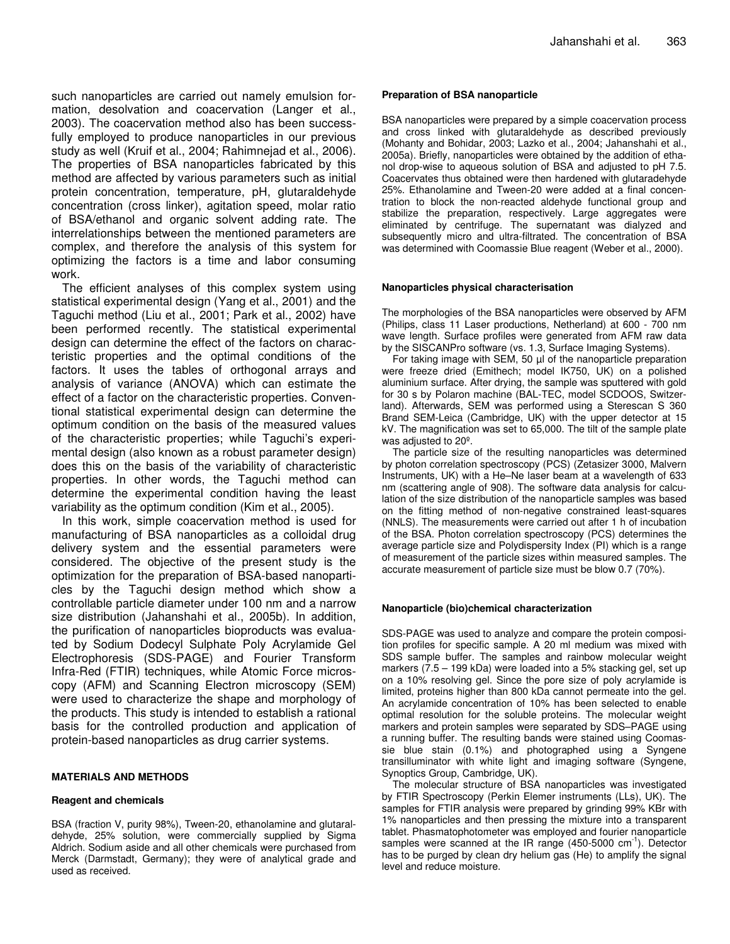such nanoparticles are carried out namely emulsion formation, desolvation and coacervation (Langer et al., 2003). The coacervation method also has been successfully employed to produce nanoparticles in our previous study as well (Kruif et al., 2004; Rahimnejad et al., 2006). The properties of BSA nanoparticles fabricated by this method are affected by various parameters such as initial protein concentration, temperature, pH, glutaraldehyde concentration (cross linker), agitation speed, molar ratio of BSA/ethanol and organic solvent adding rate. The interrelationships between the mentioned parameters are complex, and therefore the analysis of this system for optimizing the factors is a time and labor consuming work.

The efficient analyses of this complex system using statistical experimental design (Yang et al., 2001) and the Taguchi method (Liu et al., 2001; Park et al., 2002) have been performed recently. The statistical experimental design can determine the effect of the factors on characteristic properties and the optimal conditions of the factors. It uses the tables of orthogonal arrays and analysis of variance (ANOVA) which can estimate the effect of a factor on the characteristic properties. Conventional statistical experimental design can determine the optimum condition on the basis of the measured values of the characteristic properties; while Taguchi's experimental design (also known as a robust parameter design) does this on the basis of the variability of characteristic properties. In other words, the Taguchi method can determine the experimental condition having the least variability as the optimum condition (Kim et al., 2005).

In this work, simple coacervation method is used for manufacturing of BSA nanoparticles as a colloidal drug delivery system and the essential parameters were considered. The objective of the present study is the optimization for the preparation of BSA-based nanoparticles by the Taguchi design method which show a controllable particle diameter under 100 nm and a narrow size distribution (Jahanshahi et al., 2005b). In addition, the purification of nanoparticles bioproducts was evaluated by Sodium Dodecyl Sulphate Poly Acrylamide Gel Electrophoresis (SDS-PAGE) and Fourier Transform Infra-Red (FTIR) techniques, while Atomic Force microscopy (AFM) and Scanning Electron microscopy (SEM) were used to characterize the shape and morphology of the products. This study is intended to establish a rational basis for the controlled production and application of protein-based nanoparticles as drug carrier systems.

### **MATERIALS AND METHODS**

### **Reagent and chemicals**

BSA (fraction V, purity 98%), Tween-20, ethanolamine and glutaraldehyde, 25% solution, were commercially supplied by Sigma Aldrich. Sodium aside and all other chemicals were purchased from Merck (Darmstadt, Germany); they were of analytical grade and used as received.

#### **Preparation of BSA nanoparticle**

BSA nanoparticles were prepared by a simple coacervation process and cross linked with glutaraldehyde as described previously (Mohanty and Bohidar, 2003; Lazko et al., 2004; Jahanshahi et al., 2005a). Briefly, nanoparticles were obtained by the addition of ethanol drop-wise to aqueous solution of BSA and adjusted to pH 7.5. Coacervates thus obtained were then hardened with glutaradehyde 25%. Ethanolamine and Tween-20 were added at a final concentration to block the non-reacted aldehyde functional group and stabilize the preparation, respectively. Large aggregates were eliminated by centrifuge. The supernatant was dialyzed and subsequently micro and ultra-filtrated. The concentration of BSA was determined with Coomassie Blue reagent (Weber et al., 2000).

#### **Nanoparticles physical characterisation**

The morphologies of the BSA nanoparticles were observed by AFM (Philips, class 11 Laser productions, Netherland) at 600 - 700 nm wave length. Surface profiles were generated from AFM raw data by the SISCANPro software (vs. 1.3, Surface Imaging Systems).

For taking image with SEM, 50 µl of the nanoparticle preparation were freeze dried (Emithech; model IK750, UK) on a polished aluminium surface. After drying, the sample was sputtered with gold for 30 s by Polaron machine (BAL-TEC, model SCDOOS, Switzerland). Afterwards, SEM was performed using a Sterescan S 360 Brand SEM-Leica (Cambridge, UK) with the upper detector at 15 kV. The magnification was set to 65,000. The tilt of the sample plate was adjusted to 20º.

The particle size of the resulting nanoparticles was determined by photon correlation spectroscopy (PCS) (Zetasizer 3000, Malvern Instruments, UK) with a He–Ne laser beam at a wavelength of 633 nm (scattering angle of 908). The software data analysis for calculation of the size distribution of the nanoparticle samples was based on the fitting method of non-negative constrained least-squares (NNLS). The measurements were carried out after 1 h of incubation of the BSA. Photon correlation spectroscopy (PCS) determines the average particle size and Polydispersity Index (PI) which is a range of measurement of the particle sizes within measured samples. The accurate measurement of particle size must be blow 0.7 (70%).

#### **Nanoparticle (bio)chemical characterization**

SDS-PAGE was used to analyze and compare the protein composition profiles for specific sample. A 20 ml medium was mixed with SDS sample buffer. The samples and rainbow molecular weight markers (7.5 – 199 kDa) were loaded into a 5% stacking gel, set up on a 10% resolving gel. Since the pore size of poly acrylamide is limited, proteins higher than 800 kDa cannot permeate into the gel. An acrylamide concentration of 10% has been selected to enable optimal resolution for the soluble proteins. The molecular weight markers and protein samples were separated by SDS–PAGE using a running buffer. The resulting bands were stained using Coomassie blue stain (0.1%) and photographed using a Syngene transilluminator with white light and imaging software (Syngene, Synoptics Group, Cambridge, UK).

The molecular structure of BSA nanoparticles was investigated by FTIR Spectroscopy (Perkin Elemer instruments (LLs), UK). The samples for FTIR analysis were prepared by grinding 99% KBr with 1% nanoparticles and then pressing the mixture into a transparent tablet. Phasmatophotometer was employed and fourier nanoparticle samples were scanned at the IR range (450-5000 cm<sup>-1</sup>). Detector has to be purged by clean dry helium gas (He) to amplify the signal level and reduce moisture.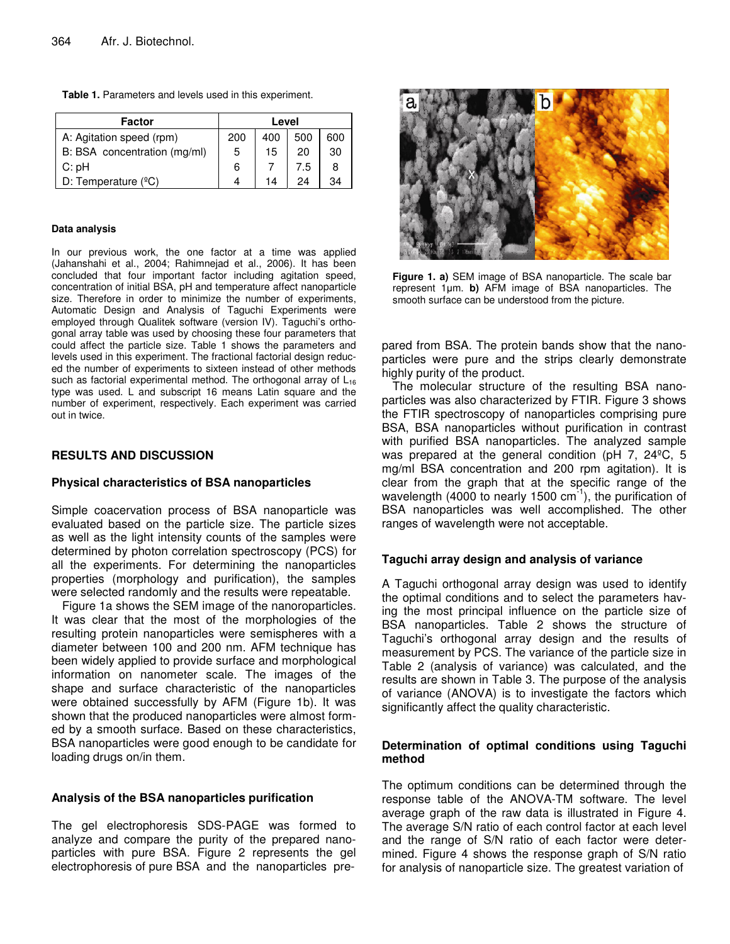| <b>Factor</b>                | Level |     |     |     |
|------------------------------|-------|-----|-----|-----|
| A: Agitation speed (rpm)     | 200   | 400 | 500 | 600 |
| B: BSA concentration (mg/ml) | 5     | 15  | 20  | 30  |
| $C:$ pH                      | 6     |     | 7.5 | 8   |
| D: Temperature $(^{\circ}C)$ |       | 14  | 24  | 34  |

**Table 1.** Parameters and levels used in this experiment.

#### **Data analysis**

In our previous work, the one factor at a time was applied (Jahanshahi et al., 2004; Rahimnejad et al., 2006). It has been concluded that four important factor including agitation speed, concentration of initial BSA, pH and temperature affect nanoparticle size. Therefore in order to minimize the number of experiments, Automatic Design and Analysis of Taguchi Experiments were employed through Qualitek software (version IV). Taguchi's orthogonal array table was used by choosing these four parameters that could affect the particle size. Table 1 shows the parameters and levels used in this experiment. The fractional factorial design reduced the number of experiments to sixteen instead of other methods such as factorial experimental method. The orthogonal array of  $L_{16}$ type was used. L and subscript 16 means Latin square and the number of experiment, respectively. Each experiment was carried out in twice.

## **RESULTS AND DISCUSSION**

## **Physical characteristics of BSA nanoparticles**

Simple coacervation process of BSA nanoparticle was evaluated based on the particle size. The particle sizes as well as the light intensity counts of the samples were determined by photon correlation spectroscopy (PCS) for all the experiments. For determining the nanoparticles properties (morphology and purification), the samples were selected randomly and the results were repeatable.

Figure 1a shows the SEM image of the nanoroparticles. It was clear that the most of the morphologies of the resulting protein nanoparticles were semispheres with a diameter between 100 and 200 nm. AFM technique has been widely applied to provide surface and morphological information on nanometer scale. The images of the shape and surface characteristic of the nanoparticles were obtained successfully by AFM (Figure 1b). It was shown that the produced nanoparticles were almost formed by a smooth surface. Based on these characteristics, BSA nanoparticles were good enough to be candidate for loading drugs on/in them.

## **Analysis of the BSA nanoparticles purification**

The gel electrophoresis SDS-PAGE was formed to analyze and compare the purity of the prepared nanoparticles with pure BSA. Figure 2 represents the gel electrophoresis of pure BSA and the nanoparticles pre-



**Figure 1. a)** SEM image of BSA nanoparticle. The scale bar represent 1um. **b)** AFM image of BSA nanoparticles. The smooth surface can be understood from the picture.

pared from BSA*.* The protein bands show that the nanoparticles were pure and the strips clearly demonstrate highly purity of the product.

The molecular structure of the resulting BSA nanoparticles was also characterized by FTIR. Figure 3 shows the FTIR spectroscopy of nanoparticles comprising pure BSA, BSA nanoparticles without purification in contrast with purified BSA nanoparticles. The analyzed sample was prepared at the general condition (pH 7, 24ºC, 5 mg/ml BSA concentration and 200 rpm agitation). It is clear from the graph that at the specific range of the wavelength (4000 to nearly 1500 cm<sup>-1</sup>), the purification of BSA nanoparticles was well accomplished. The other ranges of wavelength were not acceptable.

## **Taguchi array design and analysis of variance**

A Taguchi orthogonal array design was used to identify the optimal conditions and to select the parameters having the most principal influence on the particle size of BSA nanoparticles. Table 2 shows the structure of Taguchi's orthogonal array design and the results of measurement by PCS. The variance of the particle size in Table 2 (analysis of variance) was calculated, and the results are shown in Table 3. The purpose of the analysis of variance (ANOVA) is to investigate the factors which significantly affect the quality characteristic.

## **Determination of optimal conditions using Taguchi method**

The optimum conditions can be determined through the response table of the ANOVA-TM software. The level average graph of the raw data is illustrated in Figure 4. The average S/N ratio of each control factor at each level and the range of S/N ratio of each factor were determined. Figure 4 shows the response graph of S/N ratio for analysis of nanoparticle size. The greatest variation of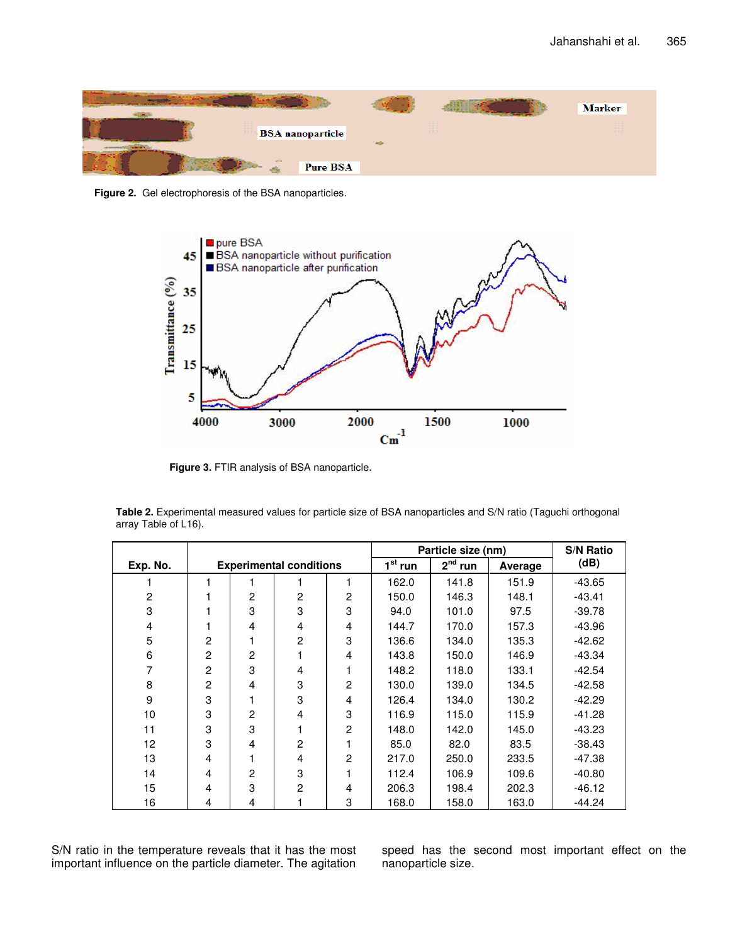

**Figure 2.** Gel electrophoresis of the BSA nanoparticles.



**Figure 3.** FTIR analysis of BSA nanoparticle.

|                |                                |                |                |                        | Particle size (nm) |       |       | <b>S/N Ratio</b> |
|----------------|--------------------------------|----------------|----------------|------------------------|--------------------|-------|-------|------------------|
| Exp. No.       | <b>Experimental conditions</b> |                | $1st$ run      | 2 <sup>nd</sup><br>run | Average            | (dB)  |       |                  |
|                | 1                              |                |                |                        | 162.0              | 141.8 | 151.9 | $-43.65$         |
| $\overline{c}$ | 1                              | $\overline{2}$ | $\overline{2}$ | $\overline{2}$         | 150.0              | 146.3 | 148.1 | $-43.41$         |
| 3              | 1                              | 3              | 3              | 3                      | 94.0               | 101.0 | 97.5  | $-39.78$         |
| 4              | 1                              | 4              | 4              | 4                      | 144.7              | 170.0 | 157.3 | $-43.96$         |
| $\mathbf 5$    | $\overline{c}$                 | 1              | $\overline{2}$ | 3                      | 136.6              | 134.0 | 135.3 | $-42.62$         |
| 6              | $\overline{c}$                 | $\overline{2}$ |                | 4                      | 143.8              | 150.0 | 146.9 | $-43.34$         |
| 7              | $\overline{2}$                 | 3              | 4              |                        | 148.2              | 118.0 | 133.1 | $-42.54$         |
| 8              | $\overline{c}$                 | $\overline{4}$ | 3              | $\overline{c}$         | 130.0              | 139.0 | 134.5 | $-42.58$         |
| 9              | 3                              |                | 3              | 4                      | 126.4              | 134.0 | 130.2 | $-42.29$         |
| 10             | 3                              | $\overline{c}$ | 4              | 3                      | 116.9              | 115.0 | 115.9 | $-41.28$         |
| 11             | 3                              | 3              |                | $\overline{c}$         | 148.0              | 142.0 | 145.0 | $-43.23$         |
| 12             | 3                              | 4              | $\overline{2}$ |                        | 85.0               | 82.0  | 83.5  | $-38.43$         |
| 13             | 4                              |                | 4              | $\overline{c}$         | 217.0              | 250.0 | 233.5 | $-47.38$         |
| 14             | 4                              | $\overline{c}$ | 3              |                        | 112.4              | 106.9 | 109.6 | $-40.80$         |
| 15             | 4                              | 3              | $\overline{2}$ | 4                      | 206.3              | 198.4 | 202.3 | $-46.12$         |
| 16             | 4                              | 4              |                | 3                      | 168.0              | 158.0 | 163.0 | $-44.24$         |

| <b>Table 2.</b> Experimental measured values for particle size of BSA nanoparticles and S/N ratio (Taguchi orthogonal |
|-----------------------------------------------------------------------------------------------------------------------|
| array Table of L16).                                                                                                  |

S/N ratio in the temperature reveals that it has the most important influence on the particle diameter. The agitation

speed has the second most important effect on the nanoparticle size.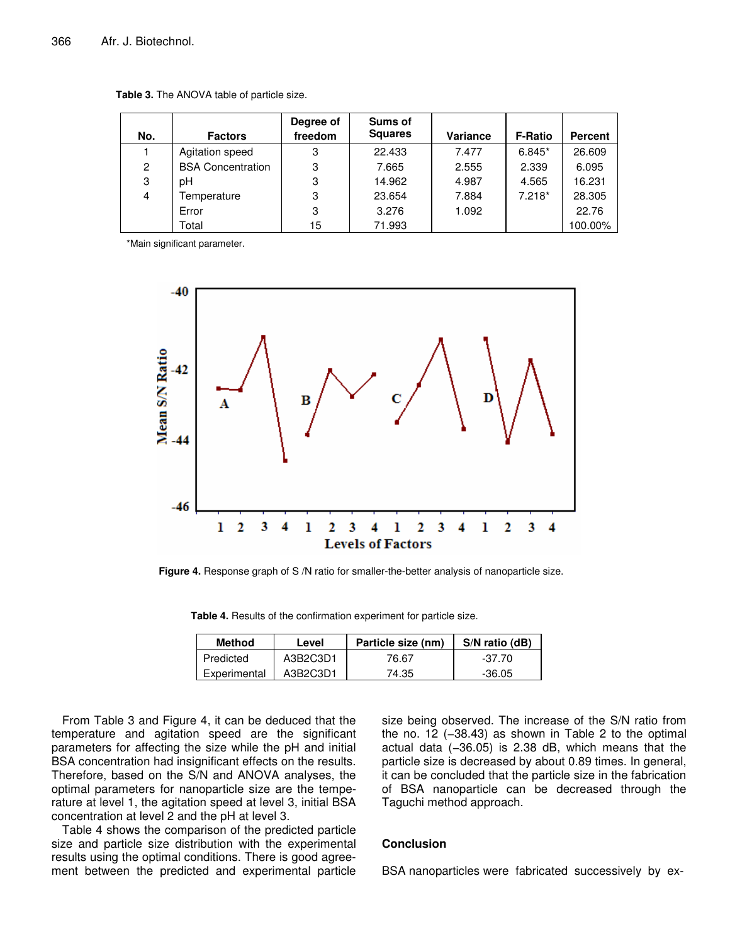|                |                          | Degree of | Sums of        |                 |                |                |
|----------------|--------------------------|-----------|----------------|-----------------|----------------|----------------|
| No.            | <b>Factors</b>           | freedom   | <b>Squares</b> | <b>Variance</b> | <b>F-Ratio</b> | <b>Percent</b> |
|                | Agitation speed          | 3         | 22.433         | 7.477           | $6.845*$       | 26.609         |
| $\overline{2}$ | <b>BSA Concentration</b> | 3         | 7.665          | 2.555           | 2.339          | 6.095          |
| 3              | pН                       | 3         | 14.962         | 4.987           | 4.565          | 16.231         |
| 4              | Temperature              | 3         | 23.654         | 7.884           | $7.218*$       | 28.305         |
|                | Error                    | 3         | 3.276          | 1.092           |                | 22.76          |
|                | Total                    | 15        | 71.993         |                 |                | 100.00%        |

**Table 3.** The ANOVA table of particle size.

\*Main significant parameter.



**Figure 4.** Response graph of S /N ratio for smaller-the-better analysis of nanoparticle size.

**Table 4.** Results of the confirmation experiment for particle size.

| Method       | Level    | Particle size (nm) | $S/N$ ratio (dB) |  |
|--------------|----------|--------------------|------------------|--|
| Predicted    | A3B2C3D1 | 76.67              | -37.70           |  |
| Experimental | A3B2C3D1 | 74.35              | -36.05           |  |

From Table 3 and Figure 4, it can be deduced that the temperature and agitation speed are the significant parameters for affecting the size while the pH and initial BSA concentration had insignificant effects on the results. Therefore, based on the S/N and ANOVA analyses, the optimal parameters for nanoparticle size are the temperature at level 1, the agitation speed at level 3, initial BSA concentration at level 2 and the pH at level 3.

Table 4 shows the comparison of the predicted particle size and particle size distribution with the experimental results using the optimal conditions. There is good agreement between the predicted and experimental particle

size being observed. The increase of the S/N ratio from the no. 12 (−38.43) as shown in Table 2 to the optimal actual data (−36.05) is 2.38 dB, which means that the particle size is decreased by about 0.89 times. In general, it can be concluded that the particle size in the fabrication of BSA nanoparticle can be decreased through the Taguchi method approach.

## **Conclusion**

BSA nanoparticles were fabricated successively by ex-